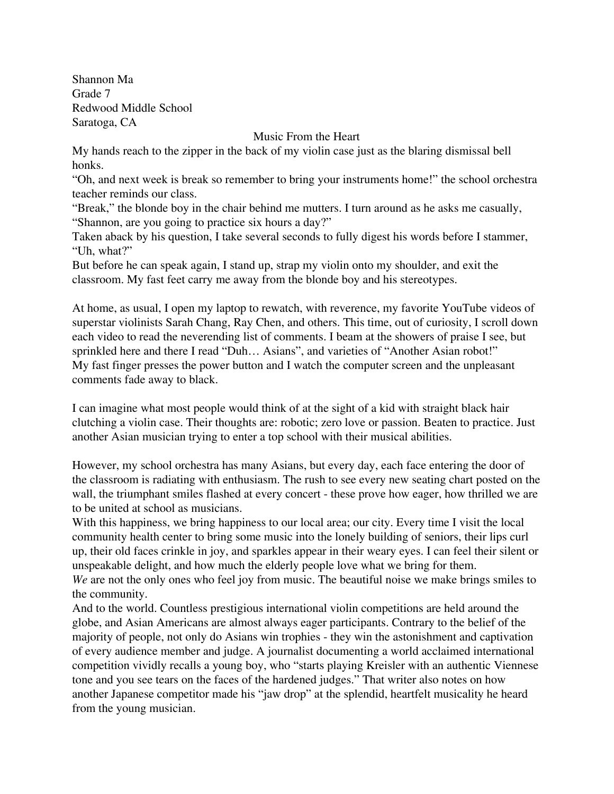Shannon Ma Grade 7 Redwood Middle School Saratoga, CA

Music From the Heart

My hands reach to the zipper in the back of my violin case just as the blaring dismissal bell honks.

"Oh, and next week is break so remember to bring your instruments home!" the school orchestra teacher reminds our class.

"Break," the blonde boy in the chair behind me mutters. I turn around as he asks me casually, "Shannon, are you going to practice six hours a day?"

Taken aback by his question, I take several seconds to fully digest his words before I stammer, "Uh, what?"

But before he can speak again, I stand up, strap my violin onto my shoulder, and exit the classroom. My fast feet carry me away from the blonde boy and his stereotypes.

At home, as usual, I open my laptop to rewatch, with reverence, my favorite YouTube videos of superstar violinists Sarah Chang, Ray Chen, and others. This time, out of curiosity, I scroll down each video to read the neverending list of comments. I beam at the showers of praise I see, but sprinkled here and there I read "Duh… Asians", and varieties of "Another Asian robot!" My fast finger presses the power button and I watch the computer screen and the unpleasant comments fade away to black.

I can imagine what most people would think of at the sight of a kid with straight black hair clutching a violin case. Their thoughts are: robotic; zero love or passion. Beaten to practice. Just another Asian musician trying to enter a top school with their musical abilities.

However, my school orchestra has many Asians, but every day, each face entering the door of the classroom is radiating with enthusiasm. The rush to see every new seating chart posted on the wall, the triumphant smiles flashed at every concert - these prove how eager, how thrilled we are to be united at school as musicians.

With this happiness, we bring happiness to our local area; our city. Every time I visit the local community health center to bring some music into the lonely building of seniors, their lips curl up, their old faces crinkle in joy, and sparkles appear in their weary eyes. I can feel their silent or unspeakable delight, and how much the elderly people love what we bring for them.

*We* are not the only ones who feel joy from music. The beautiful noise we make brings smiles to the community.

And to the world. Countless prestigious international violin competitions are held around the globe, and Asian Americans are almost always eager participants. Contrary to the belief of the majority of people, not only do Asians win trophies - they win the astonishment and captivation of every audience member and judge. A journalist documenting a world acclaimed international competition vividly recalls a young boy, who "starts playing Kreisler with an authentic Viennese tone and you see tears on the faces of the hardened judges." That writer also notes on how another Japanese competitor made his "jaw drop" at the splendid, heartfelt musicality he heard from the young musician.